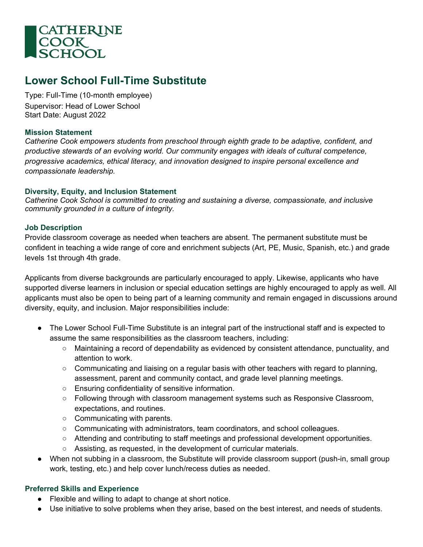

# **Lower School Full-Time Substitute**

Type: Full-Time (10-month employee) Supervisor: Head of Lower School Start Date: August 2022

#### **Mission Statement**

*Catherine Cook empowers students from preschool through eighth grade to be adaptive, confident, and productive stewards of an evolving world. Our community engages with ideals of cultural competence, progressive academics, ethical literacy, and innovation designed to inspire personal excellence and compassionate leadership.*

## **Diversity, Equity, and Inclusion Statement**

*Catherine Cook School is committed to creating and sustaining a diverse, compassionate, and inclusive community grounded in a culture of integrity.* 

#### **Job Description**

Provide classroom coverage as needed when teachers are absent. The permanent substitute must be confident in teaching a wide range of core and enrichment subjects (Art, PE, Music, Spanish, etc.) and grade levels 1st through 4th grade.

Applicants from diverse backgrounds are particularly encouraged to apply. Likewise, applicants who have supported diverse learners in inclusion or special education settings are highly encouraged to apply as well. All applicants must also be open to being part of a learning community and remain engaged in discussions around diversity, equity, and inclusion. Major responsibilities include:

- The Lower School Full-Time Substitute is an integral part of the instructional staff and is expected to assume the same responsibilities as the classroom teachers, including:
	- Maintaining a record of dependability as evidenced by consistent attendance, punctuality, and attention to work.
	- Communicating and liaising on a regular basis with other teachers with regard to planning, assessment, parent and community contact, and grade level planning meetings.
	- Ensuring confidentiality of sensitive information.
	- Following through with classroom management systems such as Responsive Classroom, expectations, and routines.
	- Communicating with parents.
	- Communicating with administrators, team coordinators, and school colleagues.
	- Attending and contributing to staff meetings and professional development opportunities.
	- Assisting, as requested, in the development of curricular materials.
- When not subbing in a classroom, the Substitute will provide classroom support (push-in, small group work, testing, etc.) and help cover lunch/recess duties as needed.

## **Preferred Skills and Experience**

- Flexible and willing to adapt to change at short notice.
- Use initiative to solve problems when they arise, based on the best interest, and needs of students.